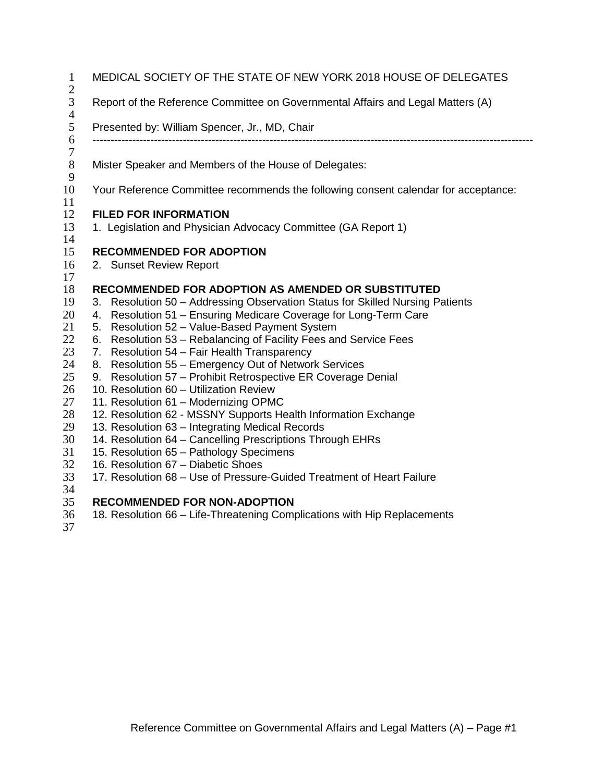| $\mathbf{1}$                            | MEDICAL SOCIETY OF THE STATE OF NEW YORK 2018 HOUSE OF DELEGATES                                       |  |  |  |
|-----------------------------------------|--------------------------------------------------------------------------------------------------------|--|--|--|
| $\boldsymbol{2}$<br>3<br>$\overline{4}$ | Report of the Reference Committee on Governmental Affairs and Legal Matters (A)                        |  |  |  |
| 5                                       | Presented by: William Spencer, Jr., MD, Chair                                                          |  |  |  |
| 6<br>$\boldsymbol{7}$                   |                                                                                                        |  |  |  |
| $8\,$                                   | Mister Speaker and Members of the House of Delegates:                                                  |  |  |  |
| 9                                       |                                                                                                        |  |  |  |
| 10                                      | Your Reference Committee recommends the following consent calendar for acceptance:                     |  |  |  |
| 11                                      |                                                                                                        |  |  |  |
| 12                                      | <b>FILED FOR INFORMATION</b>                                                                           |  |  |  |
| 13                                      | 1. Legislation and Physician Advocacy Committee (GA Report 1)                                          |  |  |  |
| 14                                      |                                                                                                        |  |  |  |
| 15<br>16                                | <b>RECOMMENDED FOR ADOPTION</b>                                                                        |  |  |  |
| 17                                      | 2. Sunset Review Report                                                                                |  |  |  |
| 18                                      | <b>RECOMMENDED FOR ADOPTION AS AMENDED OR SUBSTITUTED</b>                                              |  |  |  |
| 19                                      | 3. Resolution 50 - Addressing Observation Status for Skilled Nursing Patients                          |  |  |  |
| 20                                      | 4. Resolution 51 - Ensuring Medicare Coverage for Long-Term Care                                       |  |  |  |
| 21                                      | 5. Resolution 52 - Value-Based Payment System                                                          |  |  |  |
| 22                                      | 6. Resolution 53 - Rebalancing of Facility Fees and Service Fees                                       |  |  |  |
| 23                                      | 7. Resolution 54 - Fair Health Transparency                                                            |  |  |  |
| 24                                      | 8. Resolution 55 - Emergency Out of Network Services                                                   |  |  |  |
| 25                                      | 9. Resolution 57 - Prohibit Retrospective ER Coverage Denial                                           |  |  |  |
| 26                                      | 10. Resolution 60 - Utilization Review                                                                 |  |  |  |
| 27<br>28                                | 11. Resolution 61 - Modernizing OPMC<br>12. Resolution 62 - MSSNY Supports Health Information Exchange |  |  |  |
| 29                                      | 13. Resolution 63 - Integrating Medical Records                                                        |  |  |  |
| 30                                      | 14. Resolution 64 - Cancelling Prescriptions Through EHRs                                              |  |  |  |
| 31                                      | 15. Resolution 65 - Pathology Specimens                                                                |  |  |  |
| 32                                      | 16. Resolution 67 - Diabetic Shoes                                                                     |  |  |  |
| 33                                      | 17. Resolution 68 - Use of Pressure-Guided Treatment of Heart Failure                                  |  |  |  |
| 34                                      |                                                                                                        |  |  |  |

## **RECOMMENDED FOR NON-ADOPTION**

18. Resolution 66 – Life-Threatening Complications with Hip Replacements 36<br>37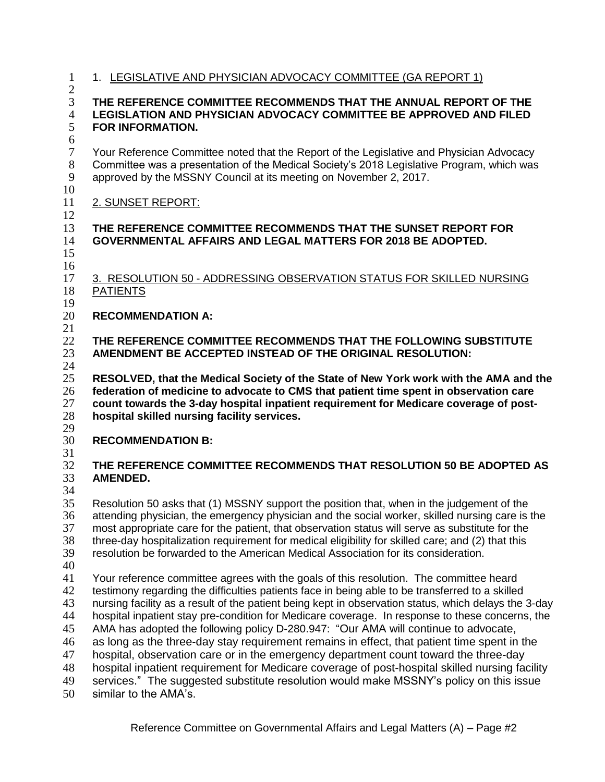| 1. LEGISLATIVE AND PHYSICIAN ADVOCACY COMMITTEE (GA REPORT 1)                                                                                                                                                                                                                                                                                                                                                                                                                              |  |  |  |  |
|--------------------------------------------------------------------------------------------------------------------------------------------------------------------------------------------------------------------------------------------------------------------------------------------------------------------------------------------------------------------------------------------------------------------------------------------------------------------------------------------|--|--|--|--|
| $\overline{2}$<br>3<br>THE REFERENCE COMMITTEE RECOMMENDS THAT THE ANNUAL REPORT OF THE<br>$\overline{4}$<br><b>LEGISLATION AND PHYSICIAN ADVOCACY COMMITTEE BE APPROVED AND FILED</b><br>5<br><b>FOR INFORMATION.</b><br>$\boldsymbol{6}$                                                                                                                                                                                                                                                 |  |  |  |  |
| Your Reference Committee noted that the Report of the Legislative and Physician Advocacy<br>Committee was a presentation of the Medical Society's 2018 Legislative Program, which was<br>approved by the MSSNY Council at its meeting on November 2, 2017.                                                                                                                                                                                                                                 |  |  |  |  |
| 2. SUNSET REPORT:                                                                                                                                                                                                                                                                                                                                                                                                                                                                          |  |  |  |  |
| THE REFERENCE COMMITTEE RECOMMENDS THAT THE SUNSET REPORT FOR<br><b>GOVERNMENTAL AFFAIRS AND LEGAL MATTERS FOR 2018 BE ADOPTED.</b>                                                                                                                                                                                                                                                                                                                                                        |  |  |  |  |
| 3. RESOLUTION 50 - ADDRESSING OBSERVATION STATUS FOR SKILLED NURSING<br><b>PATIENTS</b>                                                                                                                                                                                                                                                                                                                                                                                                    |  |  |  |  |
| <b>RECOMMENDATION A:</b>                                                                                                                                                                                                                                                                                                                                                                                                                                                                   |  |  |  |  |
| THE REFERENCE COMMITTEE RECOMMENDS THAT THE FOLLOWING SUBSTITUTE<br>AMENDMENT BE ACCEPTED INSTEAD OF THE ORIGINAL RESOLUTION:                                                                                                                                                                                                                                                                                                                                                              |  |  |  |  |
| RESOLVED, that the Medical Society of the State of New York work with the AMA and the<br>federation of medicine to advocate to CMS that patient time spent in observation care<br>count towards the 3-day hospital inpatient requirement for Medicare coverage of post-<br>hospital skilled nursing facility services.                                                                                                                                                                     |  |  |  |  |
| <b>RECOMMENDATION B:</b>                                                                                                                                                                                                                                                                                                                                                                                                                                                                   |  |  |  |  |
| THE REFERENCE COMMITTEE RECOMMENDS THAT RESOLUTION 50 BE ADOPTED AS<br>AMENDED.                                                                                                                                                                                                                                                                                                                                                                                                            |  |  |  |  |
|                                                                                                                                                                                                                                                                                                                                                                                                                                                                                            |  |  |  |  |
| Resolution 50 asks that (1) MSSNY support the position that, when in the judgement of the<br>attending physician, the emergency physician and the social worker, skilled nursing care is the<br>most appropriate care for the patient, that observation status will serve as substitute for the<br>three-day hospitalization requirement for medical eligibility for skilled care; and (2) that this<br>resolution be forwarded to the American Medical Association for its consideration. |  |  |  |  |
|                                                                                                                                                                                                                                                                                                                                                                                                                                                                                            |  |  |  |  |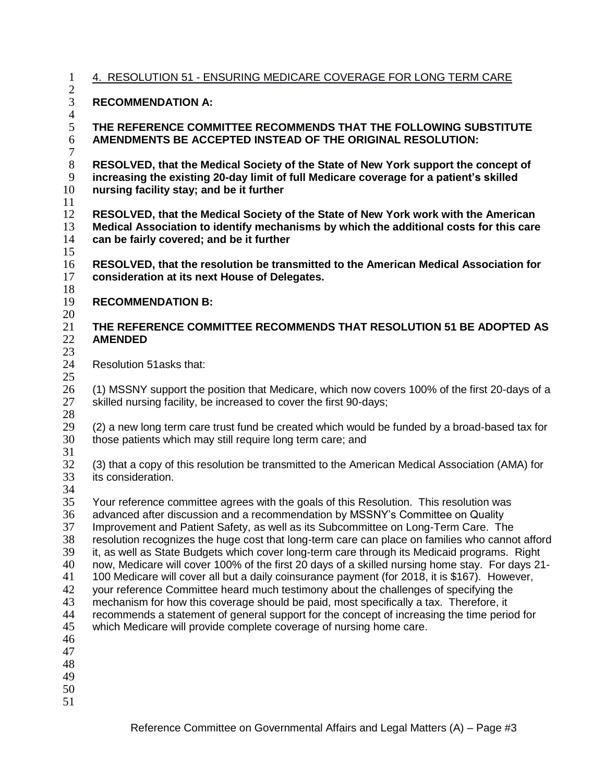| $\mathbf{1}$                                                         | 4. RESOLUTION 51 - ENSURING MEDICARE COVERAGE FOR LONG TERM CARE                                                                                                                                                                                                                                                                                                                                                                                                                                                                                                                                                                                                                                                                                                                                                                                                                                                                                                                                                              |  |  |  |
|----------------------------------------------------------------------|-------------------------------------------------------------------------------------------------------------------------------------------------------------------------------------------------------------------------------------------------------------------------------------------------------------------------------------------------------------------------------------------------------------------------------------------------------------------------------------------------------------------------------------------------------------------------------------------------------------------------------------------------------------------------------------------------------------------------------------------------------------------------------------------------------------------------------------------------------------------------------------------------------------------------------------------------------------------------------------------------------------------------------|--|--|--|
| $\overline{2}$<br>3                                                  | <b>RECOMMENDATION A:</b>                                                                                                                                                                                                                                                                                                                                                                                                                                                                                                                                                                                                                                                                                                                                                                                                                                                                                                                                                                                                      |  |  |  |
| $\overline{4}$                                                       |                                                                                                                                                                                                                                                                                                                                                                                                                                                                                                                                                                                                                                                                                                                                                                                                                                                                                                                                                                                                                               |  |  |  |
| 5<br>6<br>$\overline{7}$                                             | THE REFERENCE COMMITTEE RECOMMENDS THAT THE FOLLOWING SUBSTITUTE<br>AMENDMENTS BE ACCEPTED INSTEAD OF THE ORIGINAL RESOLUTION:                                                                                                                                                                                                                                                                                                                                                                                                                                                                                                                                                                                                                                                                                                                                                                                                                                                                                                |  |  |  |
| $8\,$<br>9<br>10<br>11                                               | RESOLVED, that the Medical Society of the State of New York support the concept of<br>increasing the existing 20-day limit of full Medicare coverage for a patient's skilled<br>nursing facility stay; and be it further                                                                                                                                                                                                                                                                                                                                                                                                                                                                                                                                                                                                                                                                                                                                                                                                      |  |  |  |
| 12<br>13<br>14<br>15                                                 | RESOLVED, that the Medical Society of the State of New York work with the American<br>Medical Association to identify mechanisms by which the additional costs for this care<br>can be fairly covered; and be it further                                                                                                                                                                                                                                                                                                                                                                                                                                                                                                                                                                                                                                                                                                                                                                                                      |  |  |  |
| 16<br>17<br>18                                                       | RESOLVED, that the resolution be transmitted to the American Medical Association for<br>consideration at its next House of Delegates.                                                                                                                                                                                                                                                                                                                                                                                                                                                                                                                                                                                                                                                                                                                                                                                                                                                                                         |  |  |  |
| 19<br>20                                                             | <b>RECOMMENDATION B:</b>                                                                                                                                                                                                                                                                                                                                                                                                                                                                                                                                                                                                                                                                                                                                                                                                                                                                                                                                                                                                      |  |  |  |
| 21<br>22                                                             | THE REFERENCE COMMITTEE RECOMMENDS THAT RESOLUTION 51 BE ADOPTED AS<br><b>AMENDED</b>                                                                                                                                                                                                                                                                                                                                                                                                                                                                                                                                                                                                                                                                                                                                                                                                                                                                                                                                         |  |  |  |
| 23<br>24<br>25                                                       | Resolution 51asks that:                                                                                                                                                                                                                                                                                                                                                                                                                                                                                                                                                                                                                                                                                                                                                                                                                                                                                                                                                                                                       |  |  |  |
| 26<br>27<br>28                                                       | (1) MSSNY support the position that Medicare, which now covers 100% of the first 20-days of a<br>skilled nursing facility, be increased to cover the first 90-days;                                                                                                                                                                                                                                                                                                                                                                                                                                                                                                                                                                                                                                                                                                                                                                                                                                                           |  |  |  |
| 29<br>30<br>31                                                       | (2) a new long term care trust fund be created which would be funded by a broad-based tax for<br>those patients which may still require long term care; and                                                                                                                                                                                                                                                                                                                                                                                                                                                                                                                                                                                                                                                                                                                                                                                                                                                                   |  |  |  |
| 32<br>33<br>34                                                       | (3) that a copy of this resolution be transmitted to the American Medical Association (AMA) for<br>its consideration.                                                                                                                                                                                                                                                                                                                                                                                                                                                                                                                                                                                                                                                                                                                                                                                                                                                                                                         |  |  |  |
| 35<br>36<br>37<br>38<br>39<br>40<br>41<br>42<br>43<br>44<br>45<br>46 | Your reference committee agrees with the goals of this Resolution. This resolution was<br>advanced after discussion and a recommendation by MSSNY's Committee on Quality<br>Improvement and Patient Safety, as well as its Subcommittee on Long-Term Care. The<br>resolution recognizes the huge cost that long-term care can place on families who cannot afford<br>it, as well as State Budgets which cover long-term care through its Medicaid programs. Right<br>now, Medicare will cover 100% of the first 20 days of a skilled nursing home stay. For days 21-<br>100 Medicare will cover all but a daily coinsurance payment (for 2018, it is \$167). However,<br>your reference Committee heard much testimony about the challenges of specifying the<br>mechanism for how this coverage should be paid, most specifically a tax. Therefore, it<br>recommends a statement of general support for the concept of increasing the time period for<br>which Medicare will provide complete coverage of nursing home care. |  |  |  |
| 47<br>48<br>49<br>50<br>51                                           |                                                                                                                                                                                                                                                                                                                                                                                                                                                                                                                                                                                                                                                                                                                                                                                                                                                                                                                                                                                                                               |  |  |  |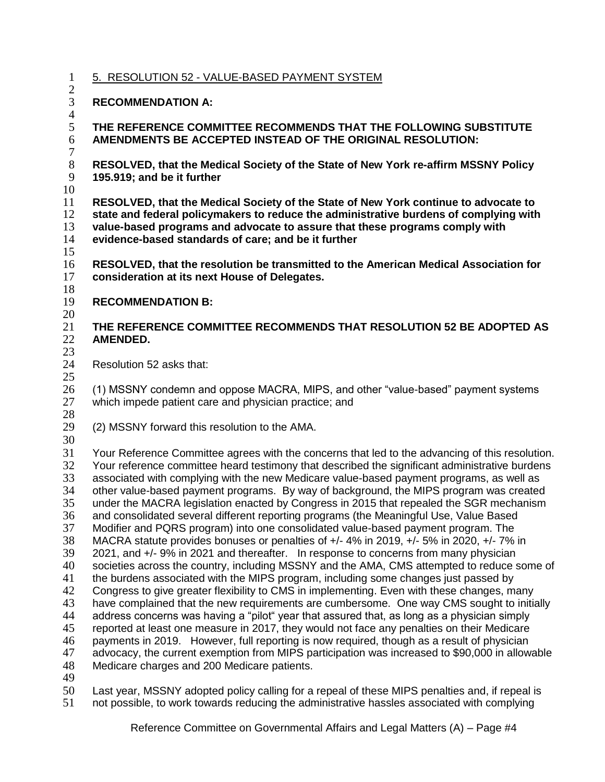5. RESOLUTION 52 - VALUE-BASED PAYMENT SYSTEM

 $\frac{2}{3}$ **RECOMMENDATION A:**

- $rac{4}{5}$
- **THE REFERENCE COMMITTEE RECOMMENDS THAT THE FOLLOWING SUBSTITUTE AMENDMENTS BE ACCEPTED INSTEAD OF THE ORIGINAL RESOLUTION:**
- **RESOLVED, that the Medical Society of the State of New York re-affirm MSSNY Policy 195.919; and be it further**
- 

 **RESOLVED, that the Medical Society of the State of New York continue to advocate to state and federal policymakers to reduce the administrative burdens of complying with value-based programs and advocate to assure that these programs comply with evidence-based standards of care; and be it further**  

 **RESOLVED, that the resolution be transmitted to the American Medical Association for consideration at its next House of Delegates.**

- $\frac{18}{19}$ **RECOMMENDATION B:**
- $\frac{20}{21}$

#### **THE REFERENCE COMMITTEE RECOMMENDS THAT RESOLUTION 52 BE ADOPTED AS AMENDED.**

 Resolution 52 asks that: 

26 (1) MSSNY condemn and oppose MACRA, MIPS, and other "value-based" payment systems<br>27 which impede patient care and physician practice: and which impede patient care and physician practice; and

- - (2) MSSNY forward this resolution to the AMA.
- 

 Your Reference Committee agrees with the concerns that led to the advancing of this resolution. 32 Your reference committee heard testimony that described the significant administrative burdens<br>33 associated with complying with the new Medicare value-based payment programs, as well as associated with complying with the new Medicare value-based payment programs, as well as other value-based payment programs. By way of background, the MIPS program was created under the MACRA legislation enacted by Congress in 2015 that repealed the SGR mechanism 36 and consolidated several different reporting programs (the Meaningful Use, Value Based<br>37 Modifier and PQRS program) into one consolidated value-based payment program. The Modifier and PQRS program) into one consolidated value-based payment program. The MACRA statute provides bonuses or penalties of +/- 4% in 2019, +/- 5% in 2020, +/- 7% in 39 2021, and +/- 9% in 2021 and thereafter. In response to concerns from many physician<br>40 societies across the country, including MSSNY and the AMA, CMS attempted to reduce s 40 societies across the country, including MSSNY and the AMA, CMS attempted to reduce some of 41 the burdens associated with the MIPS program, including some changes just passed by the burdens associated with the MIPS program, including some changes just passed by Congress to give greater flexibility to CMS in implementing. Even with these changes, many 43 have complained that the new requirements are cumbersome. One way CMS sought to initially address concerns was having a "pilot" year that assured that, as long as a physician simply reported at least one measure in 2017, they would not face any penalties on their Medicare 46 payments in 2019. However, full reporting is now required, though as a result of physician<br>47 advocacy, the current exemption from MIPS participation was increased to \$90,000 in allow advocacy, the current exemption from MIPS participation was increased to \$90,000 in allowable Medicare charges and 200 Medicare patients.

 Last year, MSSNY adopted policy calling for a repeal of these MIPS penalties and, if repeal is not possible, to work towards reducing the administrative hassles associated with complying

Reference Committee on Governmental Affairs and Legal Matters (A) – Page #4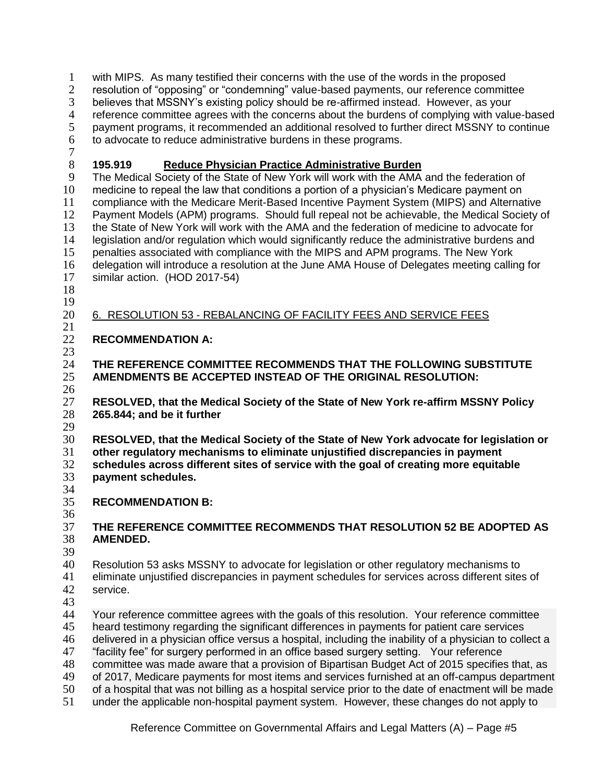- with MIPS. As many testified their concerns with the use of the words in the proposed
- 2 resolution of "opposing" or "condemning" value-based payments, our reference committee
- 3 believes that MSSNY's existing policy should be re-affirmed instead. However, as your<br>4 reference committee agrees with the concerns about the burdens of complying with value
- 4 reference committee agrees with the concerns about the burdens of complying with value-based<br>5 payment programs, it recommended an additional resolved to further direct MSSNY to continue
- payment programs, it recommended an additional resolved to further direct MSSNY to continue
- to advocate to reduce administrative burdens in these programs.
- 

# **195.919 Reduce Physician Practice Administrative Burden**

 The Medical Society of the State of New York will work with the AMA and the federation of medicine to repeal the law that conditions a portion of a physician's Medicare payment on compliance with the Medicare Merit-Based Incentive Payment System (MIPS) and Alternative Payment Models (APM) programs. Should full repeal not be achievable, the Medical Society of 13 the State of New York will work with the AMA and the federation of medicine to advocate for<br>14 Legislation and/or regulation which would significantly reduce the administrative burdens and legislation and/or regulation which would significantly reduce the administrative burdens and penalties associated with compliance with the MIPS and APM programs. The New York delegation will introduce a resolution at the June AMA House of Delegates meeting calling for similar action. (HOD 2017-54)

 

### 6. RESOLUTION 53 - REBALANCING OF FACILITY FEES AND SERVICE FEES

# **RECOMMENDATION A:**

 $\frac{23}{24}$  **THE REFERENCE COMMITTEE RECOMMENDS THAT THE FOLLOWING SUBSTITUTE AMENDMENTS BE ACCEPTED INSTEAD OF THE ORIGINAL RESOLUTION:**

 $\frac{26}{27}$  **RESOLVED, that the Medical Society of the State of New York re-affirm MSSNY Policy 265.844; and be it further**

 **RESOLVED, that the Medical Society of the State of New York advocate for legislation or other regulatory mechanisms to eliminate unjustified discrepancies in payment schedules across different sites of service with the goal of creating more equitable payment schedules.** 

- 34<br>35
	- **RECOMMENDATION B:**
- 

## **THE REFERENCE COMMITTEE RECOMMENDS THAT RESOLUTION 52 BE ADOPTED AS AMENDED.**

 Resolution 53 asks MSSNY to advocate for legislation or other regulatory mechanisms to eliminate unjustified discrepancies in payment schedules for services across different sites of service.

43<br>44

Your reference committee agrees with the goals of this resolution. Your reference committee heard testimony regarding the significant differences in payments for patient care services delivered in a physician office versus a hospital, including the inability of a physician to collect a "facility fee" for surgery performed in an office based surgery setting. Your reference

- committee was made aware that a provision of Bipartisan Budget Act of 2015 specifies that, as
- of 2017, Medicare payments for most items and services furnished at an off-campus department
- of a hospital that was not billing as a hospital service prior to the date of enactment will be made
- under the applicable non-hospital payment system. However, these changes do not apply to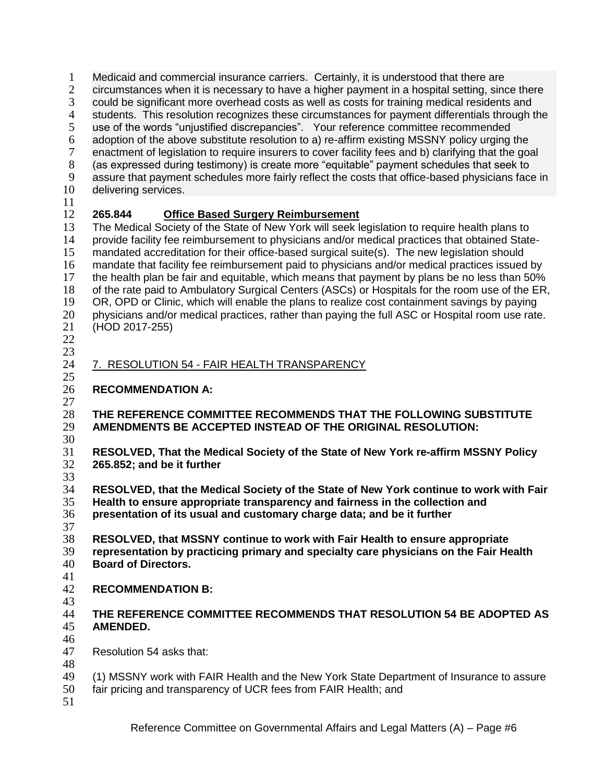Medicaid and commercial insurance carriers. Certainly, it is understood that there are 2 circumstances when it is necessary to have a higher payment in a hospital setting, since there 3 could be significant more overhead costs as well as costs for training medical residents and<br>4 students. This resolution recognizes these circumstances for payment differentials through to 4 students. This resolution recognizes these circumstances for payment differentials through the use of the words "uniustified discrepancies". Your reference committee recommended use of the words "unjustified discrepancies". Your reference committee recommended adoption of the above substitute resolution to a) re-affirm existing MSSNY policy urging the enactment of legislation to require insurers to cover facility fees and b) clarifying that the goal (as expressed during testimony) is create more "equitable" payment schedules that seek to assure that payment schedules more fairly reflect the costs that office-based physicians face in delivering services. **265.844 Office Based Surgery Reimbursement** The Medical Society of the State of New York will seek legislation to require health plans to provide facility fee reimbursement to physicians and/or medical practices that obtained State-15 mandated accreditation for their office-based surgical suite(s). The new legislation should mandate that facility fee reimbursement paid to physicians and/or medical practices issued by the health plan be fair and equitable, which means that payment by plans be no less than 50% of the rate paid to Ambulatory Surgical Centers (ASCs) or Hospitals for the room use of the ER, OR, OPD or Clinic, which will enable the plans to realize cost containment savings by paying 20 physicians and/or medical practices, rather than paying the full ASC or Hospital room use rate.<br>21 (HOD 2017-255) (HOD 2017-255) 7. RESOLUTION 54 - FAIR HEALTH TRANSPARENCY **RECOMMENDATION A:**  $\frac{27}{28}$  **THE REFERENCE COMMITTEE RECOMMENDS THAT THE FOLLOWING SUBSTITUTE AMENDMENTS BE ACCEPTED INSTEAD OF THE ORIGINAL RESOLUTION: RESOLVED, That the Medical Society of the State of New York re-affirm MSSNY Policy 265.852; and be it further** 33<br>34 **RESOLVED, that the Medical Society of the State of New York continue to work with Fair Health to ensure appropriate transparency and fairness in the collection and presentation of its usual and customary charge data; and be it further RESOLVED, that MSSNY continue to work with Fair Health to ensure appropriate representation by practicing primary and specialty care physicians on the Fair Health Board of Directors. RECOMMENDATION B:** 43<br>44 **THE REFERENCE COMMITTEE RECOMMENDS THAT RESOLUTION 54 BE ADOPTED AS AMENDED.** Resolution 54 asks that: (1) MSSNY work with FAIR Health and the New York State Department of Insurance to assure

- fair pricing and transparency of UCR fees from FAIR Health; and
-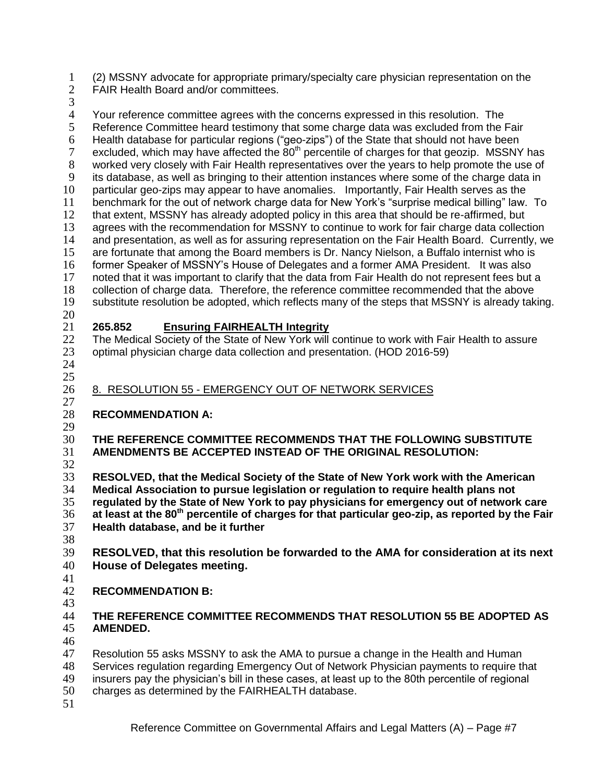(2) MSSNY advocate for appropriate primary/specialty care physician representation on the

- FAIR Health Board and/or committees.
- 

 $\frac{3}{4}$ 4 Your reference committee agrees with the concerns expressed in this resolution. The<br>5 Reference Committee heard testimony that some charge data was excluded from the F Reference Committee heard testimony that some charge data was excluded from the Fair 6 Health database for particular regions ("geo-zips") of the State that should not have been<br>7 excluded, which may have affected the  $80<sup>th</sup>$  percentile of charges for that geozip. MSSNY excluded, which may have affected the  $80<sup>th</sup>$  percentile of charges for that geozip. MSSNY has worked very closely with Fair Health representatives over the years to help promote the use of its database, as well as bringing to their attention instances where some of the charge data in particular geo-zips may appear to have anomalies. Importantly, Fair Health serves as the benchmark for the out of network charge data for New York's "surprise medical billing" law. To that extent, MSSNY has already adopted policy in this area that should be re-affirmed, but agrees with the recommendation for MSSNY to continue to work for fair charge data collection 14 and presentation, as well as for assuring representation on the Fair Health Board. Currently, we are fortunate that among the Board members is Dr. Nancy Nielson, a Buffalo internist who is former Speaker of MSSNY's House of Delegates and a former AMA President. It was also noted that it was important to clarify that the data from Fair Health do not represent fees but a collection of charge data. Therefore, the reference committee recommended that the above substitute resolution be adopted, which reflects many of the steps that MSSNY is already taking.  $\frac{20}{21}$  **265.852 Ensuring FAIRHEALTH Integrity** 22 The Medical Society of the State of New York will continue to work with Fair Health to assure optimal physician charge data collection and presentation. (HOD 2016-59) 8. RESOLUTION 55 - EMERGENCY OUT OF NETWORK SERVICES  $\frac{27}{28}$  **RECOMMENDATION A: THE REFERENCE COMMITTEE RECOMMENDS THAT THE FOLLOWING SUBSTITUTE AMENDMENTS BE ACCEPTED INSTEAD OF THE ORIGINAL RESOLUTION: RESOLVED, that the Medical Society of the State of New York work with the American Medical Association to pursue legislation or regulation to require health plans not regulated by the State of New York to pay physicians for emergency out of network care at least at the 80th percentile of charges for that particular geo-zip, as reported by the Fair Health database, and be it further RESOLVED, that this resolution be forwarded to the AMA for consideration at its next House of Delegates meeting. RECOMMENDATION B: THE REFERENCE COMMITTEE RECOMMENDS THAT RESOLUTION 55 BE ADOPTED AS** 

 **AMENDED.** 

Resolution 55 asks MSSNY to ask the AMA to pursue a change in the Health and Human

Services regulation regarding Emergency Out of Network Physician payments to require that

insurers pay the physician's bill in these cases, at least up to the 80th percentile of regional

- charges as determined by the FAIRHEALTH database.
-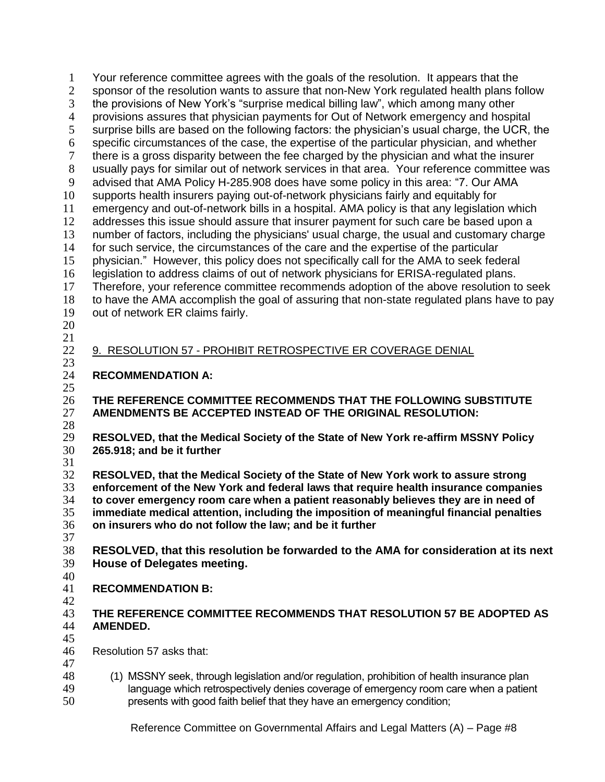Your reference committee agrees with the goals of the resolution. It appears that the sponsor of the resolution wants to assure that non-New York regulated health plans follow the provisions of New York's "surprise medical billing law", which among many other provisions assures that physician payments for Out of Network emergency and hospital surprise bills are based on the following factors: the physician's usual charge, the UCR, the specific circumstances of the case, the expertise of the particular physician, and whether there is a gross disparity between the fee charged by the physician and what the insurer usually pays for similar out of network services in that area. Your reference committee was advised that AMA Policy H-285.908 does have some policy in this area: "7. Our AMA supports health insurers paying out-of-network physicians fairly and equitably for emergency and out-of-network bills in a hospital. AMA policy is that any legislation which 12 addresses this issue should assure that insurer payment for such care be based upon a number of factors, including the physicians' usual charge, the usual and customary charge for such service, the circumstances of the care and the expertise of the particular physician." However, this policy does not specifically call for the AMA to seek federal legislation to address claims of out of network physicians for ERISA-regulated plans. Therefore, your reference committee recommends adoption of the above resolution to seek to have the AMA accomplish the goal of assuring that non-state regulated plans have to pay out of network ER claims fairly. 9. RESOLUTION 57 - PROHIBIT RETROSPECTIVE ER COVERAGE DENIAL  $\frac{23}{24}$ **RECOMMENDATION A: THE REFERENCE COMMITTEE RECOMMENDS THAT THE FOLLOWING SUBSTITUTE AMENDMENTS BE ACCEPTED INSTEAD OF THE ORIGINAL RESOLUTION:**  $\frac{28}{29}$  **RESOLVED, that the Medical Society of the State of New York re-affirm MSSNY Policy 265.918; and be it further RESOLVED, that the Medical Society of the State of New York work to assure strong enforcement of the New York and federal laws that require health insurance companies to cover emergency room care when a patient reasonably believes they are in need of immediate medical attention, including the imposition of meaningful financial penalties on insurers who do not follow the law; and be it further RESOLVED, that this resolution be forwarded to the AMA for consideration at its next House of Delegates meeting.**  $\frac{40}{41}$  **RECOMMENDATION B:**  $\frac{42}{43}$  **THE REFERENCE COMMITTEE RECOMMENDS THAT RESOLUTION 57 BE ADOPTED AS AMENDED.** 45<br>46 Resolution 57 asks that: (1) MSSNY seek, through legislation and/or regulation, prohibition of health insurance plan 49 language which retrospectively denies coverage of emergency room care when a patient 49 language which retrospectively denies coverage of emergency room care when a patient presents with good faith belief that they have an emergency condition;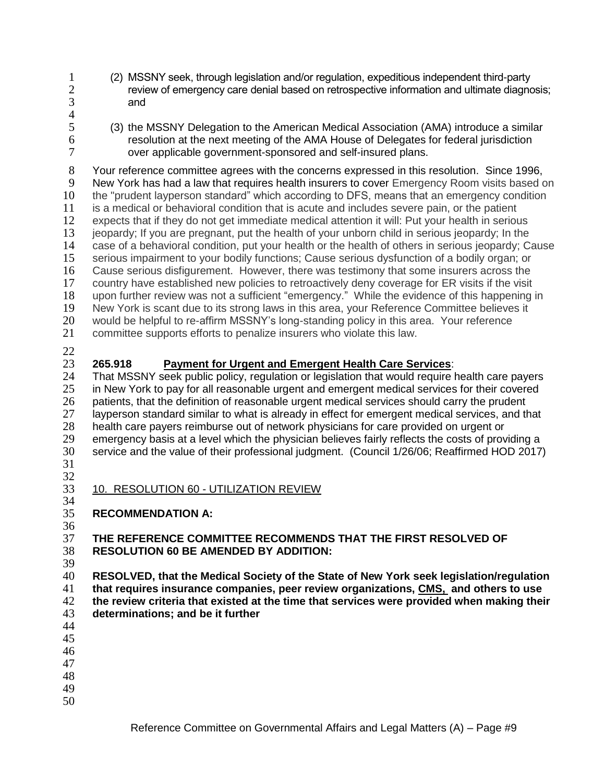- 
- (2) MSSNY seek, through legislation and/or regulation, expeditious independent third-party review of emergency care denial based on retrospective information and ultimate diagnosis; and
- $rac{4}{5}$
- (3) the MSSNY Delegation to the American Medical Association (AMA) introduce a similar resolution at the next meeting of the AMA House of Delegates for federal jurisdiction over applicable government-sponsored and self-insured plans.

 Your reference committee agrees with the concerns expressed in this resolution. Since 1996, New York has had a law that requires health insurers to cover Emergency Room visits based on the "prudent layperson standard" which according to DFS, means that an emergency condition is a medical or behavioral condition that is acute and includes severe pain, or the patient expects that if they do not get immediate medical attention it will: Put your health in serious jeopardy; If you are pregnant, put the health of your unborn child in serious jeopardy; In the case of a behavioral condition, put your health or the health of others in serious jeopardy; Cause serious impairment to your bodily functions; Cause serious dysfunction of a bodily organ; or Cause serious disfigurement. However, there was testimony that some insurers across the country have established new policies to retroactively deny coverage for ER visits if the visit upon further review was not a sufficient "emergency." While the evidence of this happening in 19 New York is scant due to its strong laws in this area, your Reference Committee believes it<br>20 would be helpful to re-affirm MSSNY's long-standing policy in this area. Your reference 20 would be helpful to re-affirm MSSNY's long-standing policy in this area. Your reference<br>21 committee supports efforts to penalize insurers who violate this law. committee supports efforts to penalize insurers who violate this law.

## **265.918 Payment for Urgent and Emergent Health Care Services**:

 That MSSNY seek public policy, regulation or legislation that would require health care payers 25 in New York to pay for all reasonable urgent and emergent medical services for their covered 26 patients, that the definition of reasonable urgent medical services should carry the prudent<br>27 lavperson standard similar to what is already in effect for emergent medical services, and th layperson standard similar to what is already in effect for emergent medical services, and that health care payers reimburse out of network physicians for care provided on urgent or emergency basis at a level which the physician believes fairly reflects the costs of providing a service and the value of their professional judgment. (Council 1/26/06; Reaffirmed HOD 2017) 

- 32<br>33 10. RESOLUTION 60 - UTILIZATION REVIEW
- 34<br>35 **RECOMMENDATION A:**

### **THE REFERENCE COMMITTEE RECOMMENDS THAT THE FIRST RESOLVED OF RESOLUTION 60 BE AMENDED BY ADDITION:**

39<br>40

 **RESOLVED, that the Medical Society of the State of New York seek legislation/regulation that requires insurance companies, peer review organizations, CMS, and others to use the review criteria that existed at the time that services were provided when making their determinations; and be it further**

- 
- 
- 
- 
- 
-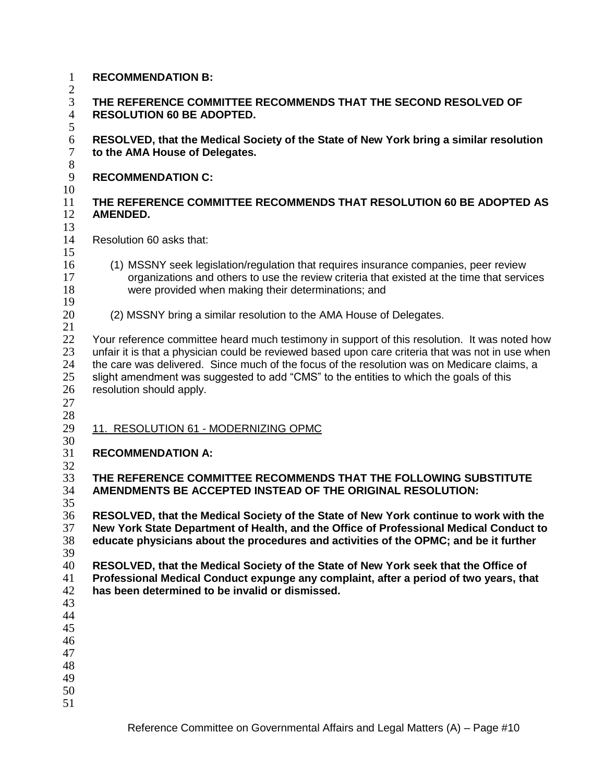$\mathcal{D}$  **THE REFERENCE COMMITTEE RECOMMENDS THAT THE SECOND RESOLVED OF RESOLUTION 60 BE ADOPTED. RESOLVED, that the Medical Society of the State of New York bring a similar resolution to the AMA House of Delegates. RECOMMENDATION C: THE REFERENCE COMMITTEE RECOMMENDS THAT RESOLUTION 60 BE ADOPTED AS AMENDED.** Resolution 60 asks that: (1) MSSNY seek legislation/regulation that requires insurance companies, peer review organizations and others to use the review criteria that existed at the time that services were provided when making their determinations; and (2) MSSNY bring a similar resolution to the AMA House of Delegates. 22 Your reference committee heard much testimony in support of this resolution. It was noted how unfair it is that a physician could be reviewed based upon care criteria that was not in use when the care was delivered. Since much of the focus of the resolution was on Medicare claims, a slight amendment was suggested to add "CMS" to the entities to which the goals of this resolution should apply. 11. RESOLUTION 61 - MODERNIZING OPMC  $\frac{30}{31}$  **RECOMMENDATION A: THE REFERENCE COMMITTEE RECOMMENDS THAT THE FOLLOWING SUBSTITUTE AMENDMENTS BE ACCEPTED INSTEAD OF THE ORIGINAL RESOLUTION:** 35<br>36 **RESOLVED, that the Medical Society of the State of New York continue to work with the New York State Department of Health, and the Office of Professional Medical Conduct to educate physicians about the procedures and activities of the OPMC; and be it further RESOLVED, that the Medical Society of the State of New York seek that the Office of Professional Medical Conduct expunge any complaint, after a period of two years, that has been determined to be invalid or dismissed.** 

Reference Committee on Governmental Affairs and Legal Matters (A) – Page #10

- **RECOMMENDATION B:**
-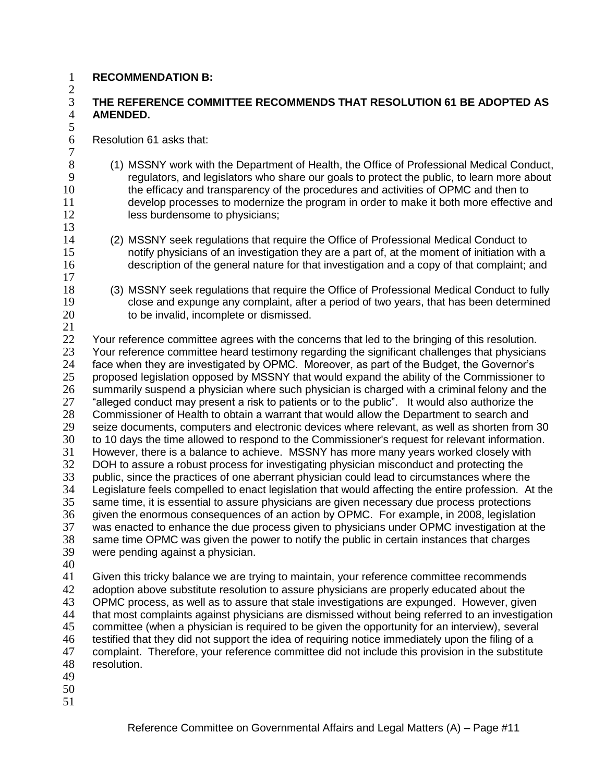### **RECOMMENDATION B:**

 $\mathcal{L}$ 

 $\frac{13}{14}$ 

### **THE REFERENCE COMMITTEE RECOMMENDS THAT RESOLUTION 61 BE ADOPTED AS AMENDED.**

Resolution 61 asks that:

- (1) MSSNY work with the Department of Health, the Office of Professional Medical Conduct, regulators, and legislators who share our goals to protect the public, to learn more about the efficacy and transparency of the procedures and activities of OPMC and then to develop processes to modernize the program in order to make it both more effective and 12 less burdensome to physicians;
- (2) MSSNY seek regulations that require the Office of Professional Medical Conduct to notify physicians of an investigation they are a part of, at the moment of initiation with a description of the general nature for that investigation and a copy of that complaint; and
- (3) MSSNY seek regulations that require the Office of Professional Medical Conduct to fully close and expunge any complaint, after a period of two years, that has been determined 20 to be invalid, incomplete or dismissed.
- 22 Your reference committee agrees with the concerns that led to the bringing of this resolution. Your reference committee heard testimony regarding the significant challenges that physicians face when they are investigated by OPMC. Moreover, as part of the Budget, the Governor's proposed legislation opposed by MSSNY that would expand the ability of the Commissioner to 26 summarily suspend a physician where such physician is charged with a criminal felony and the 27 filled 27 filled conduct may present a risk to patients or to the public". It would also authorize the <sup>27</sup> "alleged conduct may present a risk to patients or to the public". It would also authorize the<br>28 Commissioner of Health to obtain a warrant that would allow the Department to search and 28 Commissioner of Health to obtain a warrant that would allow the Department to search and<br>29 Seize documents, computers and electronic devices where relevant, as well as shorten from seize documents, computers and electronic devices where relevant, as well as shorten from 30 to 10 days the time allowed to respond to the Commissioner's request for relevant information. However, there is a balance to achieve. MSSNY has more many years worked closely with DOH to assure a robust process for investigating physician misconduct and protecting the 33 public, since the practices of one aberrant physician could lead to circumstances where the<br>34 Legislature feels compelled to enact legislation that would affecting the entire profession. At Legislature feels compelled to enact legislation that would affecting the entire profession. At the same time, it is essential to assure physicians are given necessary due process protections given the enormous consequences of an action by OPMC. For example, in 2008, legislation 37 was enacted to enhance the due process given to physicians under OPMC investigation at the 38 same time OPMC was given the power to notify the public in certain instances that charges same time OPMC was given the power to notify the public in certain instances that charges were pending against a physician.
- 

 Given this tricky balance we are trying to maintain, your reference committee recommends adoption above substitute resolution to assure physicians are properly educated about the 43 OPMC process, as well as to assure that stale investigations are expunged. However, given<br>44 that most complaints against physicians are dismissed without being referred to an investigati that most complaints against physicians are dismissed without being referred to an investigation committee (when a physician is required to be given the opportunity for an interview), several testified that they did not support the idea of requiring notice immediately upon the filing of a complaint. Therefore, your reference committee did not include this provision in the substitute resolution.

- 
- 
-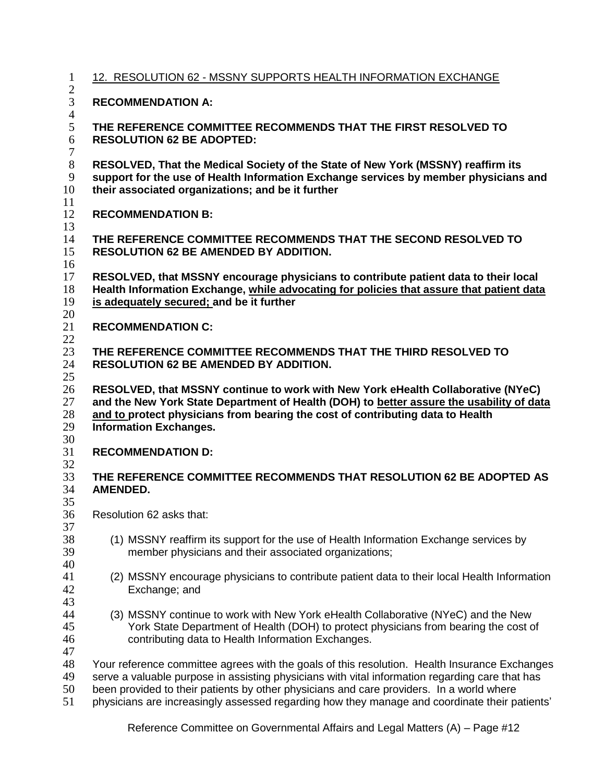| $\mathbf{1}$                        | 12. RESOLUTION 62 - MSSNY SUPPORTS HEALTH INFORMATION EXCHANGE                                                                                                                                                                                                                                                                                                                                |  |  |  |  |
|-------------------------------------|-----------------------------------------------------------------------------------------------------------------------------------------------------------------------------------------------------------------------------------------------------------------------------------------------------------------------------------------------------------------------------------------------|--|--|--|--|
| $\mathbf{2}$<br>3<br>$\overline{4}$ | <b>RECOMMENDATION A:</b><br>THE REFERENCE COMMITTEE RECOMMENDS THAT THE FIRST RESOLVED TO<br><b>RESOLUTION 62 BE ADOPTED:</b><br>RESOLVED, That the Medical Society of the State of New York (MSSNY) reaffirm its<br>support for the use of Health Information Exchange services by member physicians and<br>their associated organizations; and be it further                                |  |  |  |  |
| 5<br>$6\,$<br>$\tau$                |                                                                                                                                                                                                                                                                                                                                                                                               |  |  |  |  |
| $8\,$<br>9<br>10                    |                                                                                                                                                                                                                                                                                                                                                                                               |  |  |  |  |
| 11<br>12<br>13                      | <b>RECOMMENDATION B:</b>                                                                                                                                                                                                                                                                                                                                                                      |  |  |  |  |
| 14<br>15<br>16                      | THE REFERENCE COMMITTEE RECOMMENDS THAT THE SECOND RESOLVED TO<br><b>RESOLUTION 62 BE AMENDED BY ADDITION.</b>                                                                                                                                                                                                                                                                                |  |  |  |  |
| 17<br>18<br>19<br>20                | RESOLVED, that MSSNY encourage physicians to contribute patient data to their local<br>Health Information Exchange, while advocating for policies that assure that patient data<br>is adequately secured; and be it further                                                                                                                                                                   |  |  |  |  |
| 21<br>22                            | <b>RECOMMENDATION C:</b>                                                                                                                                                                                                                                                                                                                                                                      |  |  |  |  |
| 23<br>24<br>25                      | THE REFERENCE COMMITTEE RECOMMENDS THAT THE THIRD RESOLVED TO<br><b>RESOLUTION 62 BE AMENDED BY ADDITION.</b>                                                                                                                                                                                                                                                                                 |  |  |  |  |
| 26<br>27<br>28<br>29<br>30          | RESOLVED, that MSSNY continue to work with New York eHealth Collaborative (NYeC)<br>and the New York State Department of Health (DOH) to better assure the usability of data<br>and to protect physicians from bearing the cost of contributing data to Health<br><b>Information Exchanges.</b>                                                                                               |  |  |  |  |
| 31<br>32                            | <b>RECOMMENDATION D:</b>                                                                                                                                                                                                                                                                                                                                                                      |  |  |  |  |
| 33<br>34<br>35                      | THE REFERENCE COMMITTEE RECOMMENDS THAT RESOLUTION 62 BE ADOPTED AS<br><b>AMENDED.</b>                                                                                                                                                                                                                                                                                                        |  |  |  |  |
| 36<br>37                            | Resolution 62 asks that:                                                                                                                                                                                                                                                                                                                                                                      |  |  |  |  |
| 38<br>39<br>40                      | (1) MSSNY reaffirm its support for the use of Health Information Exchange services by<br>member physicians and their associated organizations;                                                                                                                                                                                                                                                |  |  |  |  |
| 41<br>42<br>43                      | (2) MSSNY encourage physicians to contribute patient data to their local Health Information<br>Exchange; and                                                                                                                                                                                                                                                                                  |  |  |  |  |
| 44<br>45<br>46<br>47                | (3) MSSNY continue to work with New York eHealth Collaborative (NYeC) and the New<br>York State Department of Health (DOH) to protect physicians from bearing the cost of<br>contributing data to Health Information Exchanges.                                                                                                                                                               |  |  |  |  |
| 48<br>49<br>50<br>51                | Your reference committee agrees with the goals of this resolution. Health Insurance Exchanges<br>serve a valuable purpose in assisting physicians with vital information regarding care that has<br>been provided to their patients by other physicians and care providers. In a world where<br>physicians are increasingly assessed regarding how they manage and coordinate their patients' |  |  |  |  |

Reference Committee on Governmental Affairs and Legal Matters (A) – Page #12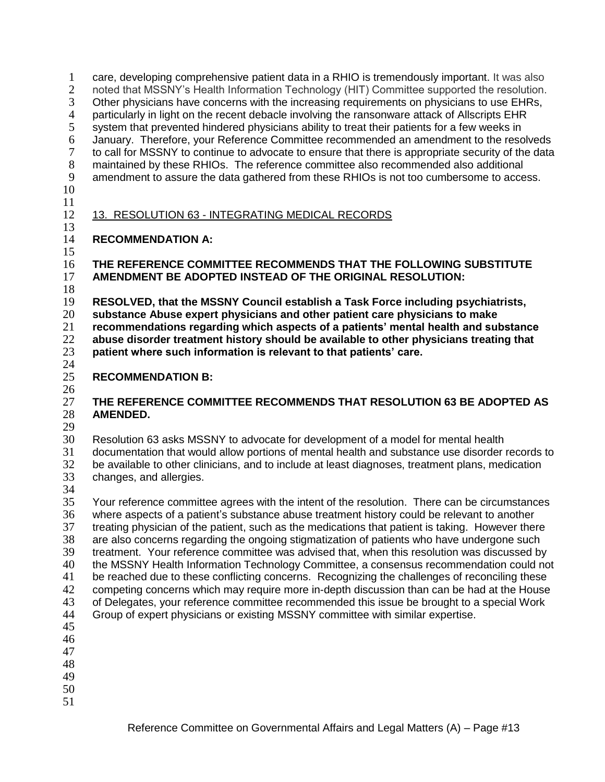care, developing comprehensive patient data in a RHIO is tremendously important. It was also noted that MSSNY's Health Information Technology (HIT) Committee supported the resolution. 3 Other physicians have concerns with the increasing requirements on physicians to use EHRs,<br>4 particularly in light on the recent debacle involving the ransonware attack of Allscripts EHR 4 particularly in light on the recent debacle involving the ransonware attack of Allscripts EHR<br>5 system that prevented hindered physicians ability to treat their patients for a few weeks in system that prevented hindered physicians ability to treat their patients for a few weeks in January. Therefore, your Reference Committee recommended an amendment to the resolveds to call for MSSNY to continue to advocate to ensure that there is appropriate security of the data maintained by these RHIOs. The reference committee also recommended also additional amendment to assure the data gathered from these RHIOs is not too cumbersome to access. 13. RESOLUTION 63 - INTEGRATING MEDICAL RECORDS

### $\frac{13}{14}$ **RECOMMENDATION A:**

 **THE REFERENCE COMMITTEE RECOMMENDS THAT THE FOLLOWING SUBSTITUTE AMENDMENT BE ADOPTED INSTEAD OF THE ORIGINAL RESOLUTION:**

 $\frac{18}{19}$  **RESOLVED, that the MSSNY Council establish a Task Force including psychiatrists, substance Abuse expert physicians and other patient care physicians to make recommendations regarding which aspects of a patients' mental health and substance abuse disorder treatment history should be available to other physicians treating that patient where such information is relevant to that patients' care.**

### $\frac{24}{25}$ **RECOMMENDATION B:**

 $\frac{26}{27}$  **THE REFERENCE COMMITTEE RECOMMENDS THAT RESOLUTION 63 BE ADOPTED AS AMENDED.**

 Resolution 63 asks MSSNY to advocate for development of a model for mental health documentation that would allow portions of mental health and substance use disorder records to be available to other clinicians, and to include at least diagnoses, treatment plans, medication changes, and allergies.

 Your reference committee agrees with the intent of the resolution. There can be circumstances 36 where aspects of a patient's substance abuse treatment history could be relevant to another<br>37 treating physician of the patient, such as the medications that patient is taking. However there 37 treating physician of the patient, such as the medications that patient is taking. However there<br>38 are also concerns regarding the ongoing stigmatization of patients who have undergone such are also concerns regarding the ongoing stigmatization of patients who have undergone such treatment. Your reference committee was advised that, when this resolution was discussed by the MSSNY Health Information Technology Committee, a consensus recommendation could not be reached due to these conflicting concerns. Recognizing the challenges of reconciling these competing concerns which may require more in-depth discussion than can be had at the House 43 of Delegates, your reference committee recommended this issue be brought to a special Work<br>44 Group of expert physicians or existing MSSNY committee with similar expertise. Group of expert physicians or existing MSSNY committee with similar expertise. 

- 
- 
- 
- 
-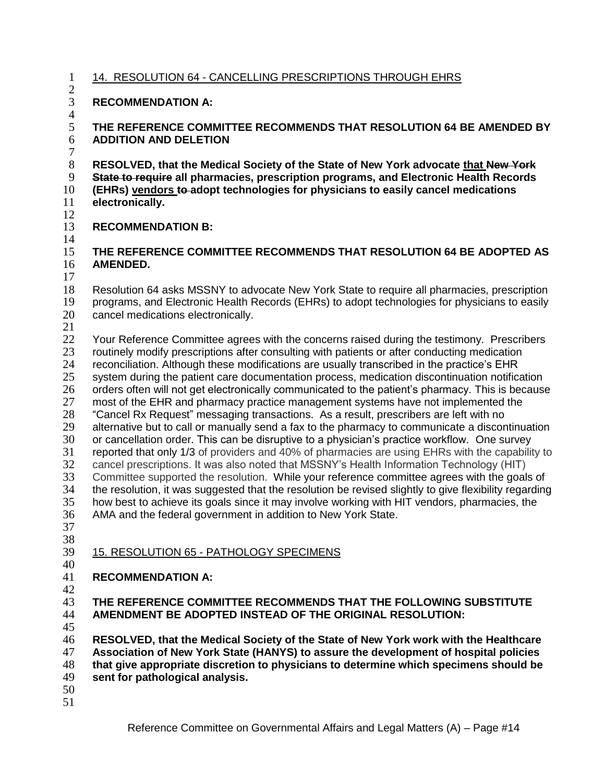## 14. RESOLUTION 64 - CANCELLING PRESCRIPTIONS THROUGH EHRS

### $rac{2}{3}$ **RECOMMENDATION A:**

#### $rac{4}{5}$  **THE REFERENCE COMMITTEE RECOMMENDS THAT RESOLUTION 64 BE AMENDED BY ADDITION AND DELETION**

 **RESOLVED, that the Medical Society of the State of New York advocate that New York State to require all pharmacies, prescription programs, and Electronic Health Records (EHRs) vendors to adopt technologies for physicians to easily cancel medications electronically.**

#### **RECOMMENDATION B:**

## **THE REFERENCE COMMITTEE RECOMMENDS THAT RESOLUTION 64 BE ADOPTED AS AMENDED.**

 $\frac{17}{18}$ Resolution 64 asks MSSNY to advocate New York State to require all pharmacies, prescription programs, and Electronic Health Records (EHRs) to adopt technologies for physicians to easily cancel medications electronically.

22 Your Reference Committee agrees with the concerns raised during the testimony. Prescribers routinely modify prescriptions after consulting with patients or after conducting medication reconciliation. Although these modifications are usually transcribed in the practice's EHR system during the patient care documentation process, medication discontinuation notification 26 orders often will not get electronically communicated to the patient's pharmacy. This is because<br>27 most of the EHR and pharmacy practice management systems have not implemented the most of the EHR and pharmacy practice management systems have not implemented the <sup>28</sup> "Cancel Rx Request" messaging transactions. As a result, prescribers are left with no<br>29 alternative but to call or manually send a fax to the pharmacy to communicate a discor alternative but to call or manually send a fax to the pharmacy to communicate a discontinuation or cancellation order. This can be disruptive to a physician's practice workflow. One survey reported that only 1/3 of providers and 40% of pharmacies are using EHRs with the capability to cancel prescriptions. It was also noted that MSSNY's Health Information Technology (HIT) 33 Committee supported the resolution. While your reference committee agrees with the goals of 34 the resolution, it was suggested that the resolution over revised slightly to give flexibility regarding the resolution, it was suggested that the resolution be revised slightly to give flexibility regarding how best to achieve its goals since it may involve working with HIT vendors, pharmacies, the AMA and the federal government in addition to New York State.

 

# 15. RESOLUTION 65 - PATHOLOGY SPECIMENS

## **RECOMMENDATION A:**

### **THE REFERENCE COMMITTEE RECOMMENDS THAT THE FOLLOWING SUBSTITUTE AMENDMENT BE ADOPTED INSTEAD OF THE ORIGINAL RESOLUTION:**

 **RESOLVED, that the Medical Society of the State of New York work with the Healthcare Association of New York State (HANYS) to assure the development of hospital policies that give appropriate discretion to physicians to determine which specimens should be sent for pathological analysis.**

- 
-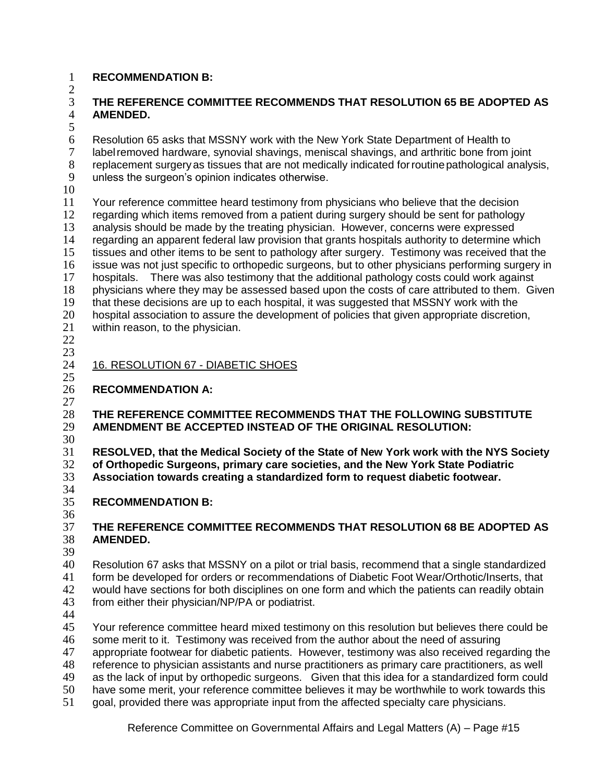## **RECOMMENDATION B:**

 $\mathcal{D}$ 

## **THE REFERENCE COMMITTEE RECOMMENDS THAT RESOLUTION 65 BE ADOPTED AS AMENDED.**

6 Resolution 65 asks that MSSNY work with the New York State Department of Health to<br>6 Iabel removed hardware, synovial shavings, meniscal shavings, and arthritic bone from i label removed hardware, synovial shavings, meniscal shavings, and arthritic bone from joint replacement surgeryas tissues that are not medically indicated forroutinepathological analysis, unless the surgeon's opinion indicates otherwise.

 Your reference committee heard testimony from physicians who believe that the decision regarding which items removed from a patient during surgery should be sent for pathology 13 analysis should be made by the treating physician. However, concerns were expressed<br>14 regarding an apparent federal law provision that grants hospitals authority to determine w 14 regarding an apparent federal law provision that grants hospitals authority to determine which<br>15 tissues and other items to be sent to pathology after surgery. Testimony was received that the tissues and other items to be sent to pathology after surgery. Testimony was received that the issue was not just specific to orthopedic surgeons, but to other physicians performing surgery in hospitals. There was also testimony that the additional pathology costs could work against physicians where they may be assessed based upon the costs of care attributed to them. Given that these decisions are up to each hospital, it was suggested that MSSNY work with the 20 hospital association to assure the development of policies that given appropriate discretion,<br>21 within reason, to the physician. within reason, to the physician. 

 $\frac{23}{24}$ 

#### 16. RESOLUTION 67 - DIABETIC SHOES

# **RECOMMENDATION A:**

## **THE REFERENCE COMMITTEE RECOMMENDS THAT THE FOLLOWING SUBSTITUTE AMENDMENT BE ACCEPTED INSTEAD OF THE ORIGINAL RESOLUTION:**

 $\frac{30}{31}$ 

 **RESOLVED, that the Medical Society of the State of New York work with the NYS Society of Orthopedic Surgeons, primary care societies, and the New York State Podiatric Association towards creating a standardized form to request diabetic footwear.**

 $\frac{34}{35}$ **RECOMMENDATION B:**

### 36<br>37 **THE REFERENCE COMMITTEE RECOMMENDS THAT RESOLUTION 68 BE ADOPTED AS AMENDED.**

39<br>40

Resolution 67 asks that MSSNY on a pilot or trial basis, recommend that a single standardized form be developed for orders or recommendations of Diabetic Foot Wear/Orthotic/Inserts, that would have sections for both disciplines on one form and which the patients can readily obtain from either their physician/NP/PA or podiatrist.

 Your reference committee heard mixed testimony on this resolution but believes there could be some merit to it. Testimony was received from the author about the need of assuring appropriate footwear for diabetic patients. However, testimony was also received regarding the reference to physician assistants and nurse practitioners as primary care practitioners, as well as the lack of input by orthopedic surgeons. Given that this idea for a standardized form could have some merit, your reference committee believes it may be worthwhile to work towards this goal, provided there was appropriate input from the affected specialty care physicians.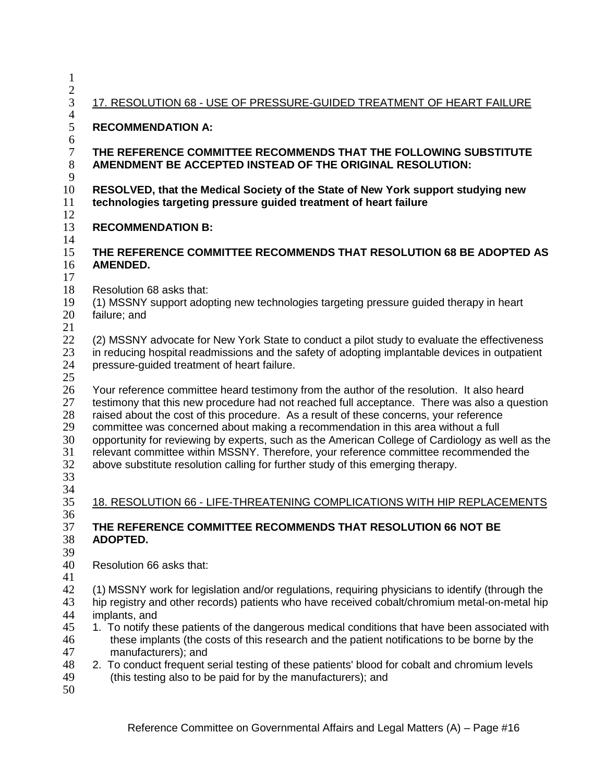| $\mathbf 1$                                        |                                                                                                                                                                                                                                                                                                                                                                                                                                                                                                                                                                                                                                                        |  |  |  |  |
|----------------------------------------------------|--------------------------------------------------------------------------------------------------------------------------------------------------------------------------------------------------------------------------------------------------------------------------------------------------------------------------------------------------------------------------------------------------------------------------------------------------------------------------------------------------------------------------------------------------------------------------------------------------------------------------------------------------------|--|--|--|--|
| $\overline{c}$<br>3                                | 17. RESOLUTION 68 - USE OF PRESSURE-GUIDED TREATMENT OF HEART FAILURE                                                                                                                                                                                                                                                                                                                                                                                                                                                                                                                                                                                  |  |  |  |  |
| $\overline{4}$                                     |                                                                                                                                                                                                                                                                                                                                                                                                                                                                                                                                                                                                                                                        |  |  |  |  |
| 5<br>6                                             | <b>RECOMMENDATION A:</b>                                                                                                                                                                                                                                                                                                                                                                                                                                                                                                                                                                                                                               |  |  |  |  |
| $\tau$<br>$8\,$<br>9                               | THE REFERENCE COMMITTEE RECOMMENDS THAT THE FOLLOWING SUBSTITUTE<br>AMENDMENT BE ACCEPTED INSTEAD OF THE ORIGINAL RESOLUTION:                                                                                                                                                                                                                                                                                                                                                                                                                                                                                                                          |  |  |  |  |
| 10<br>11<br>12                                     | RESOLVED, that the Medical Society of the State of New York support studying new<br>technologies targeting pressure guided treatment of heart failure                                                                                                                                                                                                                                                                                                                                                                                                                                                                                                  |  |  |  |  |
| 13<br>14                                           | <b>RECOMMENDATION B:</b>                                                                                                                                                                                                                                                                                                                                                                                                                                                                                                                                                                                                                               |  |  |  |  |
| 15<br>16<br>17                                     | THE REFERENCE COMMITTEE RECOMMENDS THAT RESOLUTION 68 BE ADOPTED AS<br><b>AMENDED.</b>                                                                                                                                                                                                                                                                                                                                                                                                                                                                                                                                                                 |  |  |  |  |
| 18<br>19<br>20<br>21                               | Resolution 68 asks that:<br>(1) MSSNY support adopting new technologies targeting pressure guided therapy in heart<br>failure; and                                                                                                                                                                                                                                                                                                                                                                                                                                                                                                                     |  |  |  |  |
| 22<br>23<br>24<br>25                               | (2) MSSNY advocate for New York State to conduct a pilot study to evaluate the effectiveness<br>in reducing hospital readmissions and the safety of adopting implantable devices in outpatient<br>pressure-guided treatment of heart failure.                                                                                                                                                                                                                                                                                                                                                                                                          |  |  |  |  |
| 26<br>27<br>28<br>29<br>30<br>31<br>32<br>33<br>34 | Your reference committee heard testimony from the author of the resolution. It also heard<br>testimony that this new procedure had not reached full acceptance. There was also a question<br>raised about the cost of this procedure. As a result of these concerns, your reference<br>committee was concerned about making a recommendation in this area without a full<br>opportunity for reviewing by experts, such as the American College of Cardiology as well as the<br>relevant committee within MSSNY. Therefore, your reference committee recommended the<br>above substitute resolution calling for further study of this emerging therapy. |  |  |  |  |
| 35<br>36                                           | 18. RESOLUTION 66 - LIFE-THREATENING COMPLICATIONS WITH HIP REPLACEMENTS                                                                                                                                                                                                                                                                                                                                                                                                                                                                                                                                                                               |  |  |  |  |
| 37<br>38<br>39                                     | THE REFERENCE COMMITTEE RECOMMENDS THAT RESOLUTION 66 NOT BE<br>ADOPTED.                                                                                                                                                                                                                                                                                                                                                                                                                                                                                                                                                                               |  |  |  |  |
| 40<br>41                                           | Resolution 66 asks that:                                                                                                                                                                                                                                                                                                                                                                                                                                                                                                                                                                                                                               |  |  |  |  |
| 42<br>43<br>44                                     | (1) MSSNY work for legislation and/or regulations, requiring physicians to identify (through the<br>hip registry and other records) patients who have received cobalt/chromium metal-on-metal hip<br>implants, and                                                                                                                                                                                                                                                                                                                                                                                                                                     |  |  |  |  |
| 45<br>46<br>47                                     | 1. To notify these patients of the dangerous medical conditions that have been associated with<br>these implants (the costs of this research and the patient notifications to be borne by the<br>manufacturers); and                                                                                                                                                                                                                                                                                                                                                                                                                                   |  |  |  |  |
| 48<br>49<br>50                                     | 2. To conduct frequent serial testing of these patients' blood for cobalt and chromium levels<br>(this testing also to be paid for by the manufacturers); and                                                                                                                                                                                                                                                                                                                                                                                                                                                                                          |  |  |  |  |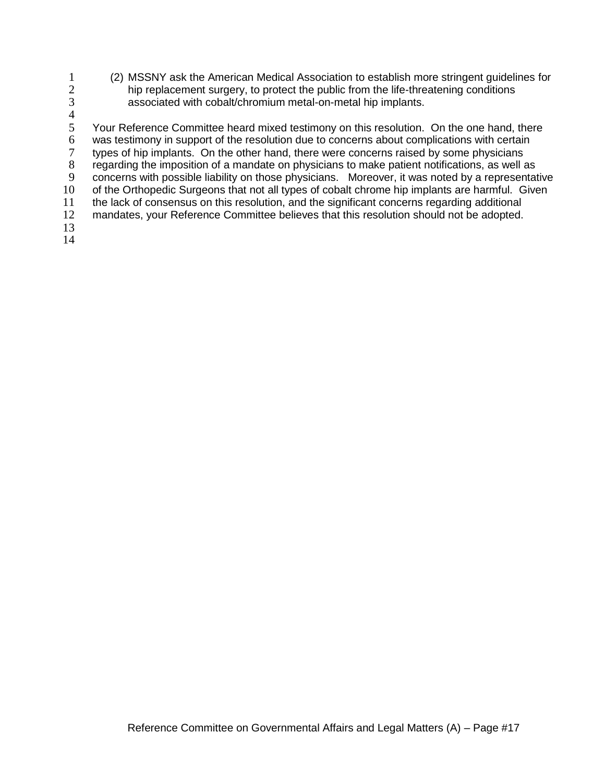- 1 (2) MSSNY ask the American Medical Association to establish more stringent guidelines for<br>2 hip replacement surgery, to protect the public from the life-threatening conditions 2 hip replacement surgery, to protect the public from the life-threatening conditions<br>3 associated with cobalt/chromium metal-on-metal hip implants. associated with cobalt/chromium metal-on-metal hip implants.
- 

 $rac{4}{5}$ 5 Your Reference Committee heard mixed testimony on this resolution. On the one hand, there 6 was testimony in support of the resolution due to concerns about complications with certain<br>6 types of hip implants. On the other hand, there were concerns raised by some physicians types of hip implants. On the other hand, there were concerns raised by some physicians 8 regarding the imposition of a mandate on physicians to make patient notifications, as well as 9 concerns with possible liability on those physicians. Moreover, it was noted by a representative 10 of the Orthopedic Surgeons that not all types of cobalt chrome hip implants are harmful. Given 11 the lack of consensus on this resolution, and the significant concerns regarding additional 12 mandates, your Reference Committee believes that this resolution should not be adopted. 13

14